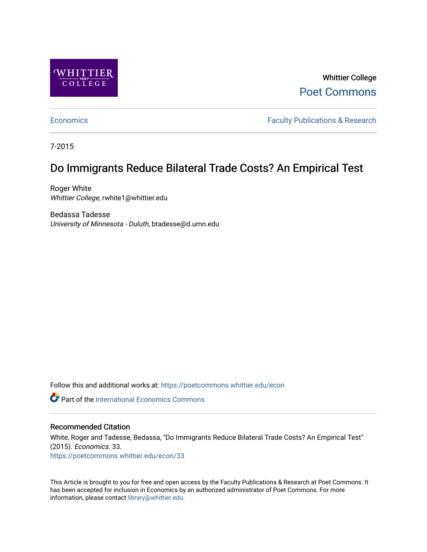

Whittier College [Poet Commons](https://poetcommons.whittier.edu/) 

[Economics](https://poetcommons.whittier.edu/econ) **Faculty Publications & Research** 

7-2015

### Do Immigrants Reduce Bilateral Trade Costs? An Empirical Test

Roger White Whittier College, rwhite1@whittier.edu

Bedassa Tadesse University of Minnesota - Duluth, btadesse@d.umn.edu

Follow this and additional works at: [https://poetcommons.whittier.edu/econ](https://poetcommons.whittier.edu/econ?utm_source=poetcommons.whittier.edu%2Fecon%2F33&utm_medium=PDF&utm_campaign=PDFCoverPages)

**C** Part of the International Economics Commons

#### Recommended Citation

White, Roger and Tadesse, Bedassa, "Do Immigrants Reduce Bilateral Trade Costs? An Empirical Test" (2015). Economics. 33. [https://poetcommons.whittier.edu/econ/33](https://poetcommons.whittier.edu/econ/33?utm_source=poetcommons.whittier.edu%2Fecon%2F33&utm_medium=PDF&utm_campaign=PDFCoverPages) 

This Article is brought to you for free and open access by the Faculty Publications & Research at Poet Commons. It has been accepted for inclusion in Economics by an authorized administrator of Poet Commons. For more information, please contact [library@whittier.edu.](mailto:library@whittier.edu)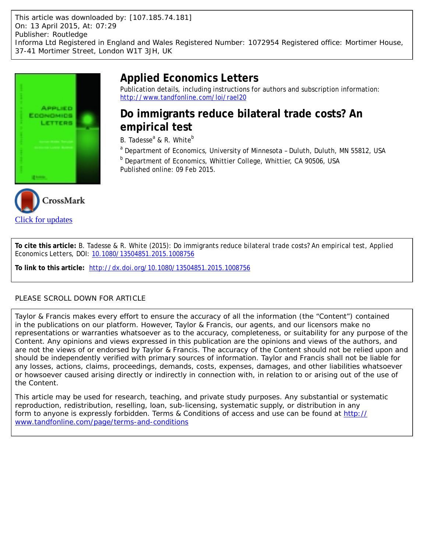This article was downloaded by: [107.185.74.181] On: 13 April 2015, At: 07:29 Publisher: Routledge Informa Ltd Registered in England and Wales Registered Number: 1072954 Registered office: Mortimer House, 37-41 Mortimer Street, London W1T 3JH, UK





Publication details, including instructions for authors and subscription information: <http://www.tandfonline.com/loi/rael20>

## **Do immigrants reduce bilateral trade costs? An empirical test**

B. Tadesse<sup>a</sup> & R. White<sup>b</sup>

<sup>a</sup> Department of Economics, University of Minnesota - Duluth, Duluth, MN 55812, USA **b** Department of Economics, Whittier College, Whittier, CA 90506, USA Published online: 09 Feb 2015.



**To cite this article:** B. Tadesse & R. White (2015): Do immigrants reduce bilateral trade costs? An empirical test, Applied Economics Letters, DOI: [10.1080/13504851.2015.1008756](http://www.tandfonline.com/action/showCitFormats?doi=10.1080/13504851.2015.1008756)

**To link to this article:** <http://dx.doi.org/10.1080/13504851.2015.1008756>

### PLEASE SCROLL DOWN FOR ARTICLE

Taylor & Francis makes every effort to ensure the accuracy of all the information (the "Content") contained in the publications on our platform. However, Taylor & Francis, our agents, and our licensors make no representations or warranties whatsoever as to the accuracy, completeness, or suitability for any purpose of the Content. Any opinions and views expressed in this publication are the opinions and views of the authors, and are not the views of or endorsed by Taylor & Francis. The accuracy of the Content should not be relied upon and should be independently verified with primary sources of information. Taylor and Francis shall not be liable for any losses, actions, claims, proceedings, demands, costs, expenses, damages, and other liabilities whatsoever or howsoever caused arising directly or indirectly in connection with, in relation to or arising out of the use of the Content.

This article may be used for research, teaching, and private study purposes. Any substantial or systematic reproduction, redistribution, reselling, loan, sub-licensing, systematic supply, or distribution in any form to anyone is expressly forbidden. Terms & Conditions of access and use can be found at [http://](http://www.tandfonline.com/page/terms-and-conditions) [www.tandfonline.com/page/terms-and-conditions](http://www.tandfonline.com/page/terms-and-conditions)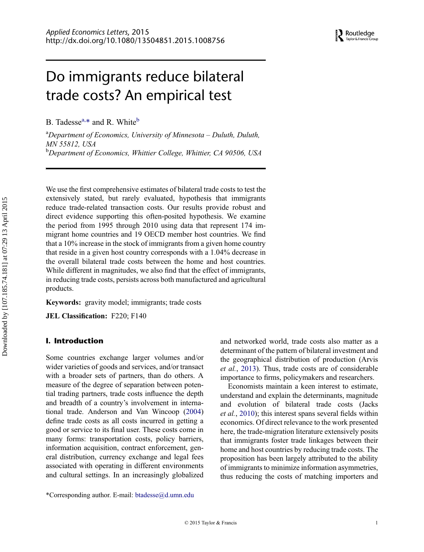# Do immigrants reduce bilateral trade costs? An empirical test

B. Tadesse<sup>a,\*</sup> and R. White<sup>b</sup>

<sup>a</sup>Department of Economics, University of Minnesota – Duluth, Duluth, MN 55812, USA <sup>b</sup>Department of Economics, Whittier College, Whittier, CA 90506, USA

We use the first comprehensive estimates of bilateral trade costs to test the extensively stated, but rarely evaluated, hypothesis that immigrants reduce trade-related transaction costs. Our results provide robust and direct evidence supporting this often-posited hypothesis. We examine the period from 1995 through 2010 using data that represent 174 immigrant home countries and 19 OECD member host countries. We find that a 10% increase in the stock of immigrants from a given home country that reside in a given host country corresponds with a 1.04% decrease in the overall bilateral trade costs between the home and host countries. While different in magnitudes, we also find that the effect of immigrants, in reducing trade costs, persists across both manufactured and agricultural products.

Keywords: gravity model; immigrants; trade costs

JEL Classification: F220; F140

#### I. Introduction

Some countries exchange larger volumes and/or wider varieties of goods and services, and/or transact with a broader sets of partners, than do others. A measure of the degree of separation between potential trading partners, trade costs influence the depth and breadth of a country's involvement in international trade. Anderson and Van Wincoop [\(2004](#page-7-0)) define trade costs as all costs incurred in getting a good or service to its final user. These costs come in many forms: transportation costs, policy barriers, information acquisition, contract enforcement, general distribution, currency exchange and legal fees associated with operating in different environments and cultural settings. In an increasingly globalized and networked world, trade costs also matter as a determinant of the pattern of bilateral investment and the geographical distribution of production (Arvis et al., [2013](#page-7-0)). Thus, trade costs are of considerable importance to firms, policymakers and researchers.

Economists maintain a keen interest to estimate, understand and explain the determinants, magnitude and evolution of bilateral trade costs (Jacks et al., [2010](#page-7-0)); this interest spans several fields within economics. Of direct relevance to the work presented here, the trade-migration literature extensively posits that immigrants foster trade linkages between their home and host countries by reducing trade costs. The proposition has been largely attributed to the ability of immigrants to minimize information asymmetries, thus reducing the costs of matching importers and

<sup>\*</sup>Corresponding author. E-mail: btadesse@d.umn.edu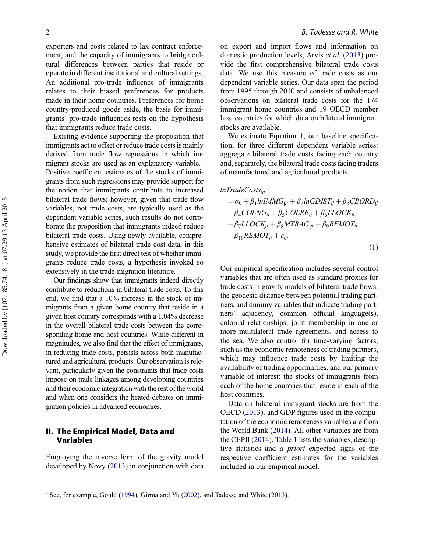exporters and costs related to lax contract enforcement, and the capacity of immigrants to bridge cultural differences between parties that reside or operate in different institutional and cultural settings. An additional pro-trade influence of immigrants relates to their biased preferences for products made in their home countries. Preferences for home country-produced goods aside, the basis for immigrants' pro-trade influences rests on the hypothesis that immigrants reduce trade costs.

Existing evidence supporting the proposition that immigrants act to offset or reduce trade costs is mainly derived from trade flow regressions in which immigrant stocks are used as an explanatory variable.<sup>1</sup> Positive coefficient estimates of the stocks of immigrants from such regressions may provide support for the notion that immigrants contribute to increased bilateral trade flows; however, given that trade flow variables, not trade costs, are typically used as the dependent variable series, such results do not corroborate the proposition that immigrants indeed reduce bilateral trade costs. Using newly available, comprehensive estimates of bilateral trade cost data, in this study, we provide the first direct test of whether immigrants reduce trade costs, a hypothesis invoked so extensively in the trade-migration literature.

Our findings show that immigrants indeed directly contribute to reductions in bilateral trade costs. To this end, we find that a 10% increase in the stock of immigrants from a given home country that reside in a given host country corresponds with a 1.04% decrease in the overall bilateral trade costs between the corresponding home and host countries. While different in magnitudes, we also find that the effect of immigrants, in reducing trade costs, persists across both manufactured and agricultural products. Our observation is relevant, particularly given the constraints that trade costs impose on trade linkages among developing countries and their economic integration with the rest of the world and when one considers the heated debates on immigration policies in advanced economies.

#### II. The Empirical Model, Data and Variables

Employing the inverse form of the gravity model developed by Novy [\(2013](#page-7-0)) in conjunction with data on export and import flows and information on domestic production levels, Arvis et al. ([2013\)](#page-7-0) provide the first comprehensive bilateral trade costs data. We use this measure of trade costs as our dependent variable series. Our data span the period from 1995 through 2010 and consists of unbalanced observations on bilateral trade costs for the 174 immigrant home countries and 19 OECD member host countries for which data on bilateral immigrant stocks are available.

We estimate Equation 1, our baseline specification, for three different dependent variable series: aggregate bilateral trade costs facing each country and, separately, the bilateral trade costs facing traders of manufactured and agricultural products.

 $lnTradeCosts_{ii}$ 

$$
= \alpha_0 + \beta_1 lnIMMG_{ijt} + \beta_2 lnGDIST_{ij} + \beta_3 CBORD_{ij}
$$
  
+  $\beta_4 COLNG_{ij} + \beta_5 COLRE_{ij} + \beta_6 LLOCK_{it}$   
+  $\beta_7 LLOCK_{jt} + \beta_8 MTRAG_{ijt} + \beta_9 REMOT_{it}$   
+  $\beta_{10} REMOT_{jt} + \varepsilon_{ijt}$  (1)

Our empirical specification includes several control variables that are often used as standard proxies for trade costs in gravity models of bilateral trade flows: the geodesic distance between potential trading partners, and dummy variables that indicate trading partners' adjacency, common official language(s), colonial relationships, joint membership in one or more multilateral trade agreements, and access to the sea. We also control for time-varying factors, such as the economic remoteness of trading partners, which may influence trade costs by limiting the availability of trading opportunities, and our primary variable of interest: the stocks of immigrants from each of the home countries that reside in each of the host countries.

Data on bilateral immigrant stocks are from the OECD ([2013\)](#page-7-0), and GDP figures used in the computation of the economic remoteness variables are from the World Bank ([2014\)](#page-7-0). All other variables are from the CEPII [\(2014](#page-7-0)). [Table 1](#page-4-0) lists the variables, descriptive statistics and a priori expected signs of the respective coefficient estimates for the variables included in our empirical model.

<sup>1</sup> See, for example, Gould ([1994\)](#page-7-0), Girma and Yu ([2002\)](#page-7-0), and Tadesse and White ([2013\)](#page-7-0).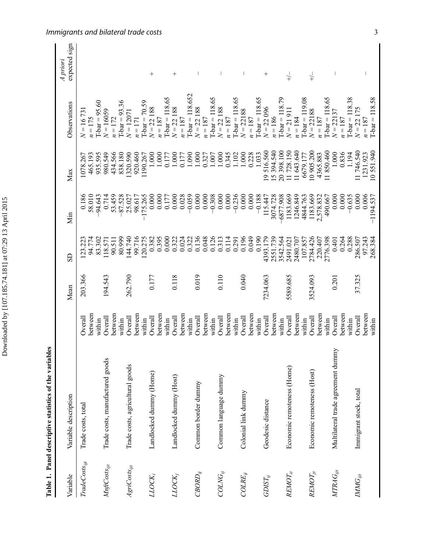| ì<br>ׇ֚<br>l<br>l<br>ı<br>ׇ֚֕֡<br>1<br>l<br>J<br>Í |
|----------------------------------------------------|
| $\frac{1}{2}$                                      |
| ١<br>֕                                             |
| こしくてし<br>$\overline{\phantom{a}}$<br>j.<br>J<br>J  |
| ١<br>¢<br>֕                                        |

Table 1. Panel descriptive statistics of the variables Table 1. Panel descriptive statistics of the variables

| Variable                           | Variable description               |                                        | Mean     | <b>GS</b>                        | Min                                 | Max                                 | Observations                                                      | expected sign<br>A priori |
|------------------------------------|------------------------------------|----------------------------------------|----------|----------------------------------|-------------------------------------|-------------------------------------|-------------------------------------------------------------------|---------------------------|
| $TradeCosts_{ijt}$                 | Trade costs, total                 | petween<br>Overall                     | 203.366  | 94.774<br>123.223                | 0.186<br>58.010                     | 465.193<br>1078.267                 | $N = 1673$<br>$n = 175$                                           |                           |
| $Mn\mathit{fGosts}_{\mathit{ijt}}$ | Trade costs, manufactured goods    | between<br>Overall<br>within           | 194.543  | 83.302<br>118.571<br>90.511      | 53.459<br>-94.643<br>0.714          | 980.549<br>434.566<br>935.595       | $T-bar = 95.60$<br>$N = 16059$<br>$n = 172$                       |                           |
| AgriCosts <sub>ijt</sub>           | Trade costs, agricultural goods    | between<br>Overall<br>within           | 262.790  | 99.716<br>80.999<br>144.740      | 87.528<br>25.027<br>98.617          | 920.460<br>838.180<br>1320.590      | $T-bar = 93.36$<br>$N = 12071$<br>$n = 171$                       |                           |
| $LLOCK_i$                          | Landlocked dummy (Home)            | between<br>Overall<br>within           | 0.177    | 0.395<br>120.275<br>0.382        | 0.000<br>$-175.265$<br>0.000        | 1.000<br>1.000<br>1190.267          | $T-bar = 70.59$<br>$N = 22188$<br>$n = 187$                       | $\, +$                    |
| $LLOCK_j$                          | Landlocked dummy (Host)            | between<br>Overall<br>within<br>within | 0.118    | 0.000<br>0.322<br>0.024<br>0.322 | $-0.059$<br>0.000<br>0.028<br>0.177 | 1.000<br>1.090<br>0.177<br>0.177    | $T-bar = 118.652$<br>$T-bar = 118.65$<br>$N = 22188$<br>$n = 187$ | $\hspace{0.1mm} +$        |
| $\mathit{CBORD}_{ij}$              | Common border dummy                | between<br>Overall<br>within           | 0.019    | 0.136<br>0.126<br>0.048          | 0.000<br>0.000<br>$-0.308$          | 000.1<br>0.327<br>1.007             | $T-bar = 118.65$<br>$N = 22188$<br>$n=187$                        |                           |
| $COLNG_{ij}$                       | Common language dummy              | between<br>Overall<br>within           | 0.110    | 0.114<br>0.313<br>0.291          | $-0.236$<br>0.000<br>0.000          | 1.000<br>0.345<br>1.102             | $T-bar = 118.65$<br>$N = 22188$<br>$n = 187$                      |                           |
| $COLRE_{ij}$                       | Colonial link dummy                | between<br>Overall<br>within           | 0.040    | 0.190<br>0.196<br>0.049          | 0.000<br>0.000<br>$-0.188$          | 1.000<br>0.228<br>1.033             | $T-bar = 118.65$<br>$N = 22188$<br>$n = 187$                      |                           |
| $GDIST_{ij}$                       | Geodesic distance                  | between<br>Overall<br>within           | 7234.063 | 4393.179<br>2551.739<br>3542.564 | 3074.728<br>6877.908<br>115.447     | 19516.560<br>20398.100<br>15394.540 | $T-bar = 118.79$<br>$N = 22096$<br>$n = 186$                      | $\hspace{0.1mm} +$        |
| $\mathit{REMOT}_{it}$              | Economic remoteness (Home)         | between<br>Overall<br>within           | 5589.685 | 2480.707<br>107.857<br>2491.021  | 1183.669<br>1246.849<br>4844.763    | 11728.150<br>11643.640<br>6679.177  | $T-bar = 119.08$<br>$N = 21911$<br>$n = 184$                      | $\downarrow$              |
| $\mathit{REMOT}_{jt}$              | Economic remoteness (Host)         | between<br>Overall<br>within           | 3524.093 | 2784.426<br>2776.398<br>220.407  | 1183.669<br>2,578.832<br>490.667    | 10 905.200<br>11850.460<br>4365.883 | $T-bar = 118.65$<br>$N = 22188$<br>$n = 187$                      | $\downarrow$              |
| $MTRAG_{ijt}$                      | Multilateral trade agreement dummy | petween<br>Overall<br>within           | 0.201    | 0.264<br>0.288<br>0.401          | 0.000<br>0.000<br>$-0.635$          | 1.000<br>0.836<br>1.194             | $T-bar = 118.38$<br>$N = 22137$<br>$n=187$                        |                           |
| $\mathit{IMMG}_{\mathit{ijt}}$     | Immigrant stock, total             | between<br>Overall<br>within           | 37.325   | 97.243<br>286.507<br>268.384     | 0.006<br>0.000<br>$-1194.537$       | 11746.540<br>10551.940<br>1231.923  | $T-bar = 118.58$<br>$N = 22175$<br>$n = 187$                      |                           |

<span id="page-4-0"></span>Immigrants and bilateral trade costs 3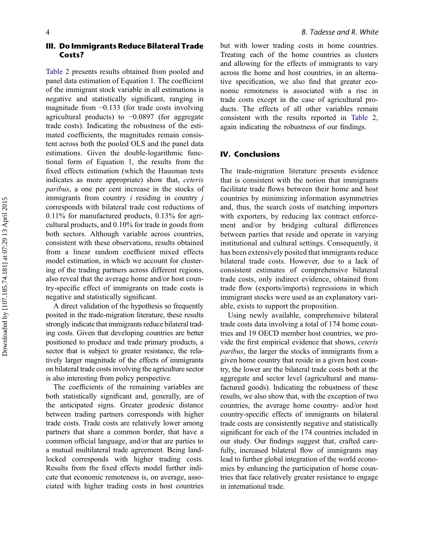#### III. Do Immigrants Reduce Bilateral Trade Costs?

[Table 2](#page-6-0) presents results obtained from pooled and panel data estimation of Equation 1. The coefficient of the immigrant stock variable in all estimations is negative and statistically significant, ranging in magnitude from −0.133 (for trade costs involving agricultural products) to −0.0897 (for aggregate trade costs). Indicating the robustness of the estimated coefficients, the magnitudes remain consistent across both the pooled OLS and the panel data estimations. Given the double-logarithmic functional form of Equation 1, the results from the fixed effects estimation (which the Hausman tests indicates as more appropriate) show that, ceteris paribus, a one per cent increase in the stocks of immigrants from country  $i$  residing in country  $i$ corresponds with bilateral trade cost reductions of 0.11% for manufactured products, 0.13% for agricultural products, and 0.10% for trade in goods from both sectors. Although variable across countries, consistent with these observations, results obtained from a linear random coefficient mixed effects model estimation, in which we account for clustering of the trading partners across different regions, also reveal that the average home and/or host country-specific effect of immigrants on trade costs is negative and statistically significant.

A direct validation of the hypothesis so frequently posited in the trade-migration literature, these results strongly indicate that immigrants reduce bilateral trading costs. Given that developing countries are better positioned to produce and trade primary products, a sector that is subject to greater resistance, the relatively larger magnitude of the effects of immigrants on bilateral trade costs involving the agriculture sector is also interesting from policy perspective.

The coefficients of the remaining variables are both statistically significant and, generally, are of the anticipated signs. Greater geodesic distance between trading partners corresponds with higher trade costs. Trade costs are relatively lower among partners that share a common border, that have a common official language, and/or that are parties to a mutual multilateral trade agreement. Being landlocked corresponds with higher trading costs. Results from the fixed effects model further indicate that economic remoteness is, on average, associated with higher trading costs in host countries

but with lower trading costs in home countries. Treating each of the home countries as clusters and allowing for the effects of immigrants to vary across the home and host countries, in an alternative specification, we also find that greater economic remoteness is associated with a rise in trade costs except in the case of agricultural products. The effects of all other variables remain consistent with the results reported in [Table 2,](#page-6-0) again indicating the robustness of our findings.

#### IV. Conclusions

The trade-migration literature presents evidence that is consistent with the notion that immigrants facilitate trade flows between their home and host countries by minimizing information asymmetries and, thus, the search costs of matching importers with exporters, by reducing lax contract enforcement and/or by bridging cultural differences between parties that reside and operate in varying institutional and cultural settings. Consequently, it has been extensively posited that immigrants reduce bilateral trade costs. However, due to a lack of consistent estimates of comprehensive bilateral trade costs, only indirect evidence, obtained from trade flow (exports/imports) regressions in which immigrant stocks were used as an explanatory variable, exists to support the proposition.

Using newly available, comprehensive bilateral trade costs data involving a total of 174 home countries and 19 OECD member host countries, we provide the first empirical evidence that shows, ceteris paribus, the larger the stocks of immigrants from a given home country that reside in a given host country, the lower are the bilateral trade costs both at the aggregate and sector level (agricultural and manufactured goods). Indicating the robustness of these results, we also show that, with the exception of two countries, the average home country- and/or host country-specific effects of immigrants on bilateral trade costs are consistently negative and statistically significant for each of the 174 countries included in our study. Our findings suggest that, crafted carefully, increased bilateral flow of immigrants may lead to further global integration of the world economies by enhancing the participation of home countries that face relatively greater resistance to engage in international trade.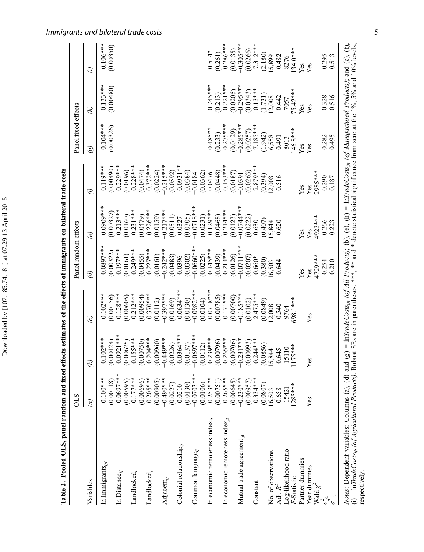<span id="page-6-0"></span>

|                                                                                                                                                                                                                                                             | <b>OLS</b>                 |                                   |                                                                                                                              | Panel random effects      |                           |                                                                                                                                                                                                                                                                                                                                                                                                                                                 | Panel fixed effects      |                          |                          |
|-------------------------------------------------------------------------------------------------------------------------------------------------------------------------------------------------------------------------------------------------------------|----------------------------|-----------------------------------|------------------------------------------------------------------------------------------------------------------------------|---------------------------|---------------------------|-------------------------------------------------------------------------------------------------------------------------------------------------------------------------------------------------------------------------------------------------------------------------------------------------------------------------------------------------------------------------------------------------------------------------------------------------|--------------------------|--------------------------|--------------------------|
| Variables                                                                                                                                                                                                                                                   | $\widehat{a}$              | (д)                               | $\odot$                                                                                                                      | $\mathscr{G}$             | $\mathcal{C}$             | $\mathfrak{S}% _{T}=\mathfrak{S}_{T}\!\left( a,b\right) ,\ \mathfrak{S}_{T}=C_{T}\!\left( a,b\right) ,\ \mathfrak{S}_{T}=C_{T}\!\left( a,b\right) ,\ \mathfrak{S}_{T}=C_{T}\!\left( a,b\right) ,\ \mathfrak{S}_{T}=C_{T}\!\left( a,b\right) ,\ \mathfrak{S}_{T}=C_{T}\!\left( a,b\right) ,\ \mathfrak{S}_{T}=C_{T}\!\left( a,b\right) ,\ \mathfrak{S}_{T}=C_{T}\!\left( a,b\right) ,\ \mathfrak{S}_{T}=C_{T}\!\left( a,b\right) ,\ \mathfrak{S$ | $\mathcal{D}$            | $\widehat{\ell}$         | $\widehat{c}$            |
| In Immigrants $_{ii}$                                                                                                                                                                                                                                       | $-0.100***$<br>(0.00118)   | $-0.102***$<br>(0.00124)          | $-0.102***$<br>(0.00156)                                                                                                     | $-0.0897***$<br>(0.00322) | $-0.0909***$<br>(0.00327) | $-0.119***$<br>(0.00490)                                                                                                                                                                                                                                                                                                                                                                                                                        | $-0.104***$<br>(0.00326) | $-0.133***$<br>(0.00480) | $-0.106***$<br>(0.00350) |
| In Distance <sub>ij</sub>                                                                                                                                                                                                                                   | $0.0697***$                | $0.0921***$                       | $0.128***$                                                                                                                   | $0.197***$                | $0.213***$                | $0.229***$                                                                                                                                                                                                                                                                                                                                                                                                                                      |                          |                          |                          |
|                                                                                                                                                                                                                                                             | (0.00595)                  | (0.00625)                         | (0.00605)                                                                                                                    | (0.0161)                  | (0.0160)                  | (0.0196)                                                                                                                                                                                                                                                                                                                                                                                                                                        |                          |                          |                          |
| $Landlocked_i$                                                                                                                                                                                                                                              | $0.177***$<br>(0.00696)    | 55****<br>)750)<br>0.15<br>(0.00) | $0.212***$<br>(0.00954)                                                                                                      | $0.249***$<br>(0.0455)    | $0.231***$<br>(0.0479)    | $0.228***$<br>(0.0474)                                                                                                                                                                                                                                                                                                                                                                                                                          |                          |                          |                          |
| Landlocked <sub>j</sub>                                                                                                                                                                                                                                     | $0.205***$                 | <b>04***</b><br>0.20              | $0.370***$                                                                                                                   | $0.227***$                | $0.226***$                | $0.372***$                                                                                                                                                                                                                                                                                                                                                                                                                                      |                          |                          |                          |
|                                                                                                                                                                                                                                                             | $-0.490$ ****<br>(0.00905) | $-0.449***$<br>(0.00960)          | $-0.397***$<br>(0.0112)                                                                                                      | $-0.242***$<br>(0.0161)   | $-0.217***$<br>(0.0159)   | $-0.215***$<br>(0.0224)                                                                                                                                                                                                                                                                                                                                                                                                                         |                          |                          |                          |
| $\text{Adjacent}_{ij}$                                                                                                                                                                                                                                      | (0.0227)                   | (0.0226)                          | (0.0169)                                                                                                                     | (0.0483)                  | (0.0511)                  | (0.0592)                                                                                                                                                                                                                                                                                                                                                                                                                                        |                          |                          |                          |
| Colonial relationship $_{ij}$                                                                                                                                                                                                                               | 0.0210                     | $64***$<br>0.03                   | $0.0634***$                                                                                                                  | 0.0396                    | 0.0327                    | $0.0931**$                                                                                                                                                                                                                                                                                                                                                                                                                                      |                          |                          |                          |
|                                                                                                                                                                                                                                                             | (0.0130)                   | 37)<br>(0.01)                     | (0.0130)                                                                                                                     | (0.0302)                  | (0.0305)                  | (0.0384)                                                                                                                                                                                                                                                                                                                                                                                                                                        |                          |                          |                          |
| Common language $_{ij}$                                                                                                                                                                                                                                     | $-0.0703***$               | $-0.0697***$                      | $-0.0982***$                                                                                                                 | $-0.0660***$              | $-0.0718***$              | $-0.0184$                                                                                                                                                                                                                                                                                                                                                                                                                                       |                          |                          |                          |
|                                                                                                                                                                                                                                                             | $0.253***$<br>(0.0106)     | $39***$<br>(12)<br>(0.01)<br>0.23 | $0.0718***$<br>(0.0104)                                                                                                      | $0.145***$<br>(0.0225)    | $0.129***$<br>(0.0231)    | (0.0362)<br>$-0.0476$                                                                                                                                                                                                                                                                                                                                                                                                                           | $-0.485**$               | $-0.745***$              | $-0.514*$                |
| In economic remoteness index $_{it}$                                                                                                                                                                                                                        | (0.00751)                  | )796)<br>(0.00)                   | (0.00785)                                                                                                                    | (0.0439)                  | (0.0468)                  | (0.0448)                                                                                                                                                                                                                                                                                                                                                                                                                                        | (0.233)                  | (0.213)                  | (0.261)                  |
| In economic remoteness index $_{it}$                                                                                                                                                                                                                        | $0.265***$                 | $55***$<br>0.26                   | $0.171***$                                                                                                                   | $0.214***$                | $0.214***$                | $0.153***$                                                                                                                                                                                                                                                                                                                                                                                                                                      | $0.275***$               | $0.221***$               | $0.286***$               |
|                                                                                                                                                                                                                                                             | (0.00645)                  | )706)<br>(0.00)                   | (0.00700)                                                                                                                    | (0.0126)                  | (0.0123)                  | (0.0187)                                                                                                                                                                                                                                                                                                                                                                                                                                        | (0.0129)                 | (0.0205)                 | (0.0135)                 |
| Mutual trade agreement <sub>ijt</sub>                                                                                                                                                                                                                       | $-0.230***$                | $-0.231***$                       | $-0.185***$                                                                                                                  | $-0.0711***$              | $-0.0744**$               | $-0.0391$                                                                                                                                                                                                                                                                                                                                                                                                                                       | $-0.285***$              | $-0.295***$              | $-0.305***$              |
|                                                                                                                                                                                                                                                             | (0.00957)                  | $(0.00993)$<br>0.244 ***          | (0.0102)                                                                                                                     | (0.0207)                  | (0.0222)                  | (0.0263)                                                                                                                                                                                                                                                                                                                                                                                                                                        | (0.0257)                 | (0.0343)                 | (0.0266)                 |
| Constant                                                                                                                                                                                                                                                    | $0.334***$                 |                                   | $2.475***$                                                                                                                   | $0.660*$                  | 0.630                     | $2.879***$                                                                                                                                                                                                                                                                                                                                                                                                                                      | 7.185***                 | $10.13***$               | 7.312***                 |
|                                                                                                                                                                                                                                                             | (0.0807)                   | (0.0856)                          | (6, 849)                                                                                                                     | (0.380)                   | (0.407)                   | (0.394)                                                                                                                                                                                                                                                                                                                                                                                                                                         | (1.942)                  | (1.731)                  | (2.180)                  |
| No. of observations                                                                                                                                                                                                                                         | 16,503                     | 4<br>15,84                        | 12,008                                                                                                                       | 16,503                    | 15,844                    | 12,008                                                                                                                                                                                                                                                                                                                                                                                                                                          | 16,558                   | 12,008                   | 15,899                   |
| Adj. $R^2$                                                                                                                                                                                                                                                  | 0.658                      | 0.645                             | 0.540                                                                                                                        | 0.644                     | 0.620                     | 0.516                                                                                                                                                                                                                                                                                                                                                                                                                                           | 0.491                    | 0.442                    | 0.482                    |
| Log-likelihood ratio                                                                                                                                                                                                                                        | $-15421$                   | $-15110$                          | $-9764$                                                                                                                      |                           |                           |                                                                                                                                                                                                                                                                                                                                                                                                                                                 | $-8013$                  | $-7057$                  | $-8276$                  |
| F-Statistic                                                                                                                                                                                                                                                 | $1285***$                  | 1175***                           | 698.1***                                                                                                                     |                           |                           |                                                                                                                                                                                                                                                                                                                                                                                                                                                 | 146.8***                 | 75.42***                 | $134.0***$               |
| Partner dummies                                                                                                                                                                                                                                             |                            |                                   |                                                                                                                              | Yes                       | Yes                       | Yes                                                                                                                                                                                                                                                                                                                                                                                                                                             | Yes                      | Yes                      | Yes                      |
| Year dummies                                                                                                                                                                                                                                                | Yes                        | Yes                               | Yes                                                                                                                          | Yes                       | Yes                       | Yes                                                                                                                                                                                                                                                                                                                                                                                                                                             | Yes                      | Yes                      | Yes                      |
| Wald $\chi^2$                                                                                                                                                                                                                                               |                            |                                   |                                                                                                                              | 4729***                   | 4923***                   | 2985***                                                                                                                                                                                                                                                                                                                                                                                                                                         |                          |                          |                          |
| P                                                                                                                                                                                                                                                           |                            |                                   |                                                                                                                              | 0.254                     | 0.266                     | 0.290                                                                                                                                                                                                                                                                                                                                                                                                                                           | 0.282                    | 0.328                    | 0.295                    |
| $\sigma^{\circ}$                                                                                                                                                                                                                                            |                            |                                   |                                                                                                                              | 0.210                     | 0.223                     | 0.187                                                                                                                                                                                                                                                                                                                                                                                                                                           | 0.495                    | 0.516                    | 0.513                    |
| (i) = lnTradeCosts <sub>ijt</sub> (of Agricultural Products). Robust SEs are in parentheses. ***, ** and * denote statistical significance from zero at the 1%, 5% and 10% levels,<br>Notes: Dependent variables: Columns (a), (d) and (g)<br>respectively. |                            |                                   | = $lnTradeCos_{W_{ijl}}$ (of All Products); (b), (e), (h) = $lnTradeCos_{W_{ijl}}$ (of Manufactured Products); and (c), (f), |                           |                           |                                                                                                                                                                                                                                                                                                                                                                                                                                                 |                          |                          |                          |

Table 2. Pooled OLS, panel random and fixed effects estimates of the effects of immigrants on bilateral trade costs fixed effects estimates of the effects of immigrants on bilateral trade costs Table 2. Pooled OLS, panel random and